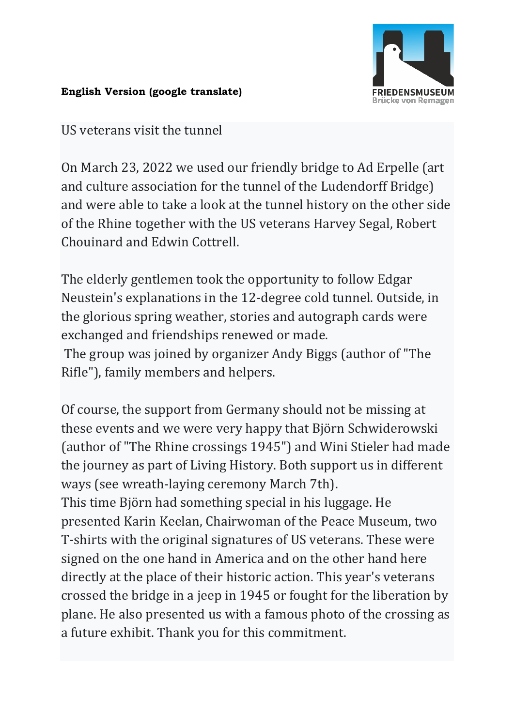

## **English Version (google translate)**

US veterans visit the tunnel

On March 23, 2022 we used our friendly bridge to Ad Erpelle (art and culture association for the tunnel of the Ludendorff Bridge) and were able to take a look at the tunnel history on the other side of the Rhine together with the US veterans Harvey Segal, Robert Chouinard and Edwin Cottrell.

The elderly gentlemen took the opportunity to follow Edgar Neustein's explanations in the 12-degree cold tunnel. Outside, in the glorious spring weather, stories and autograph cards were exchanged and friendships renewed or made.

The group was joined by organizer Andy Biggs (author of "The Rifle"), family members and helpers.

Of course, the support from Germany should not be missing at these events and we were very happy that Björn Schwiderowski (author of "The Rhine crossings 1945") and Wini Stieler had made the journey as part of Living History. Both support us in different ways (see wreath-laying ceremony March 7th).

This time Björn had something special in his luggage. He presented Karin Keelan, Chairwoman of the Peace Museum, two T-shirts with the original signatures of US veterans. These were signed on the one hand in America and on the other hand here directly at the place of their historic action. This year's veterans crossed the bridge in a jeep in 1945 or fought for the liberation by plane. He also presented us with a famous photo of the crossing as a future exhibit. Thank you for this commitment.